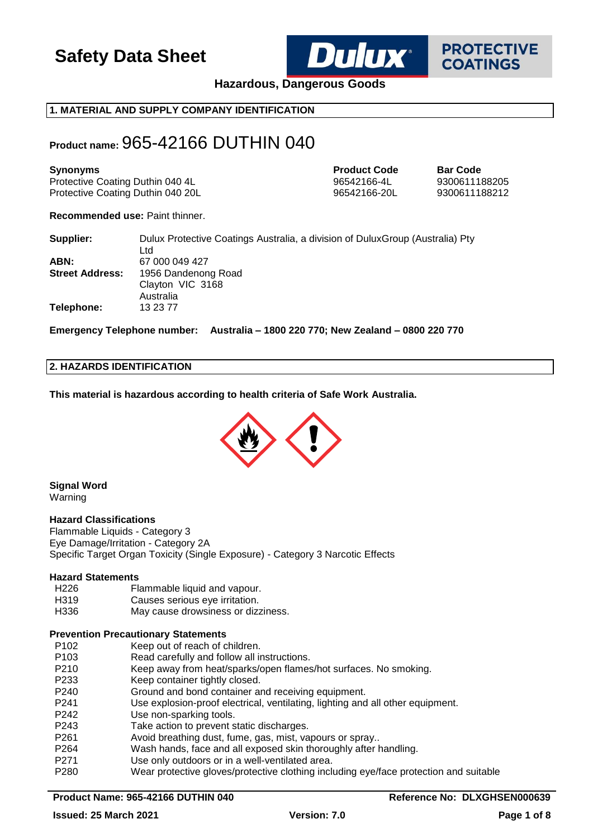

**PROTECTIVE COATINGS** 

**Hazardous, Dangerous Goods**

## **1. MATERIAL AND SUPPLY COMPANY IDENTIFICATION**

## **Product name:** 965-42166 DUTHIN 040

| <b>Synonyms</b>                   | <b>Product Code</b> | <b>Bar Code</b> |
|-----------------------------------|---------------------|-----------------|
| Protective Coating Duthin 040 4L  | 96542166-4L         | 9300611188205   |
| Protective Coating Duthin 040 20L | 96542166-20L        | 9300611188212   |

**Recommended use:** Paint thinner.

| Supplier:              | Dulux Protective Coatings Australia, a division of Dulux Group (Australia) Pty |
|------------------------|--------------------------------------------------------------------------------|
|                        | Ltd                                                                            |
| ABN:                   | 67 000 049 427                                                                 |
| <b>Street Address:</b> | 1956 Dandenong Road                                                            |
|                        | Clayton VIC 3168                                                               |
|                        | Australia                                                                      |
| <b>Telephone:</b>      | 13 23 77                                                                       |

**Emergency Telephone number: Australia – 1800 220 770; New Zealand – 0800 220 770**

#### **2. HAZARDS IDENTIFICATION**

**This material is hazardous according to health criteria of Safe Work Australia.**



**Signal Word** Warning

#### **Hazard Classifications**

Flammable Liquids - Category 3 Eye Damage/Irritation - Category 2A Specific Target Organ Toxicity (Single Exposure) - Category 3 Narcotic Effects

#### **Hazard Statements**

- H226 Flammable liquid and vapour.
- H319 Causes serious eye irritation.
- H336 May cause drowsiness or dizziness.

## **Prevention Precautionary Statements**

| P102 | Keep out of reach of children.                                                        |
|------|---------------------------------------------------------------------------------------|
| P103 | Read carefully and follow all instructions.                                           |
| P210 | Keep away from heat/sparks/open flames/hot surfaces. No smoking.                      |
| P233 | Keep container tightly closed.                                                        |
| P240 | Ground and bond container and receiving equipment.                                    |
| P241 | Use explosion-proof electrical, ventilating, lighting and all other equipment.        |
| P242 | Use non-sparking tools.                                                               |
| P243 | Take action to prevent static discharges.                                             |
| P261 | Avoid breathing dust, fume, gas, mist, vapours or spray                               |
| P264 | Wash hands, face and all exposed skin thoroughly after handling.                      |
| P271 | Use only outdoors or in a well-ventilated area.                                       |
| P280 | Wear protective gloves/protective clothing including eye/face protection and suitable |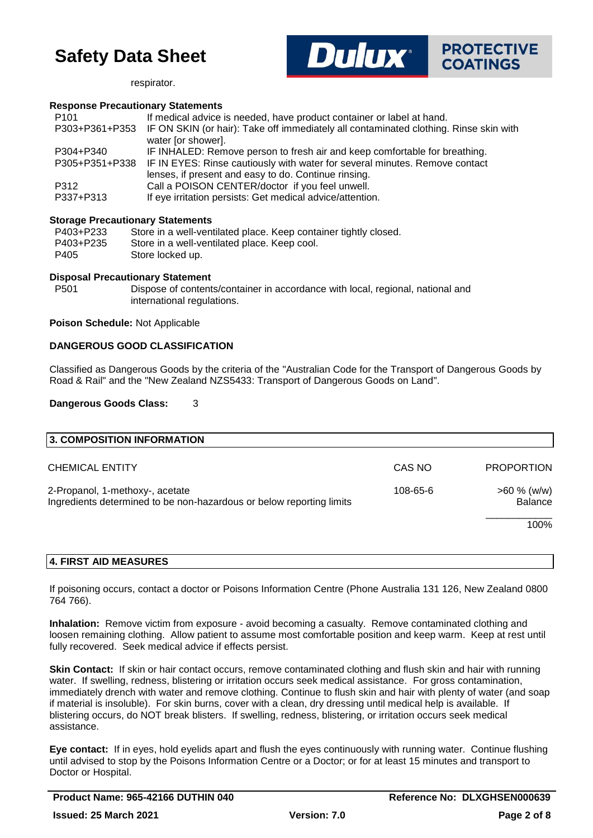



respirator.

#### **Response Precautionary Statements**

| P <sub>101</sub> | If medical advice is needed, have product container or label at hand.                 |
|------------------|---------------------------------------------------------------------------------------|
| P303+P361+P353   | IF ON SKIN (or hair): Take off immediately all contaminated clothing. Rinse skin with |
|                  | water [or shower].                                                                    |
| P304+P340        | IF INHALED: Remove person to fresh air and keep comfortable for breathing.            |
| P305+P351+P338   | IF IN EYES: Rinse cautiously with water for several minutes. Remove contact           |
|                  | lenses, if present and easy to do. Continue rinsing.                                  |
| P312             | Call a POISON CENTER/doctor if you feel unwell.                                       |
| P337+P313        | If eye irritation persists: Get medical advice/attention.                             |
|                  |                                                                                       |

#### **Storage Precautionary Statements**

| P403+P233 | Store in a well-ventilated place. Keep container tightly closed. |
|-----------|------------------------------------------------------------------|
| P403+P235 | Store in a well-ventilated place. Keep cool.                     |
| P405      | Store locked up.                                                 |

#### **Disposal Precautionary Statement**

P501 Dispose of contents/container in accordance with local, regional, national and international regulations.

#### **Poison Schedule:** Not Applicable

#### **DANGEROUS GOOD CLASSIFICATION**

Classified as Dangerous Goods by the criteria of the "Australian Code for the Transport of Dangerous Goods by Road & Rail" and the "New Zealand NZS5433: Transport of Dangerous Goods on Land".

#### **Dangerous Goods Class:** 3

| 3. COMPOSITION INFORMATION                                                                                          |        |                                  |
|---------------------------------------------------------------------------------------------------------------------|--------|----------------------------------|
| <b>CHEMICAL ENTITY</b>                                                                                              | CAS NO | <b>PROPORTION</b>                |
| 2-Propanol, 1-methoxy-, acetate<br>108-65-6<br>Ingredients determined to be non-hazardous or below reporting limits |        | $>60 \%$ (w/w)<br><b>Balance</b> |
|                                                                                                                     |        | 100%                             |
|                                                                                                                     |        |                                  |

### **4. FIRST AID MEASURES**

If poisoning occurs, contact a doctor or Poisons Information Centre (Phone Australia 131 126, New Zealand 0800 764 766).

**Inhalation:** Remove victim from exposure - avoid becoming a casualty. Remove contaminated clothing and loosen remaining clothing. Allow patient to assume most comfortable position and keep warm. Keep at rest until fully recovered. Seek medical advice if effects persist.

**Skin Contact:** If skin or hair contact occurs, remove contaminated clothing and flush skin and hair with running water. If swelling, redness, blistering or irritation occurs seek medical assistance. For gross contamination, immediately drench with water and remove clothing. Continue to flush skin and hair with plenty of water (and soap if material is insoluble). For skin burns, cover with a clean, dry dressing until medical help is available. If blistering occurs, do NOT break blisters. If swelling, redness, blistering, or irritation occurs seek medical assistance.

**Eye contact:** If in eyes, hold eyelids apart and flush the eyes continuously with running water. Continue flushing until advised to stop by the Poisons Information Centre or a Doctor; or for at least 15 minutes and transport to Doctor or Hospital.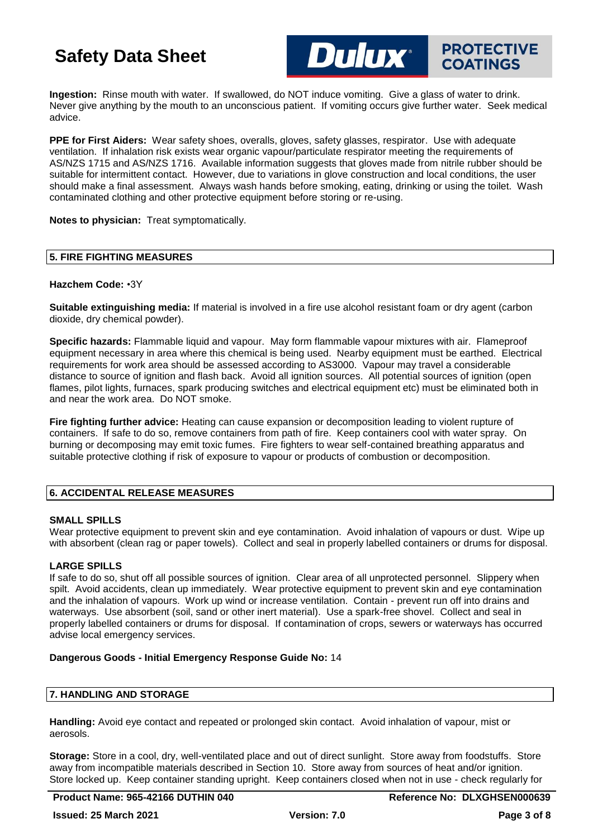

**Ingestion:** Rinse mouth with water. If swallowed, do NOT induce vomiting. Give a glass of water to drink. Never give anything by the mouth to an unconscious patient. If vomiting occurs give further water. Seek medical advice.

**PPE for First Aiders:** Wear safety shoes, overalls, gloves, safety glasses, respirator. Use with adequate ventilation. If inhalation risk exists wear organic vapour/particulate respirator meeting the requirements of AS/NZS 1715 and AS/NZS 1716. Available information suggests that gloves made from nitrile rubber should be suitable for intermittent contact. However, due to variations in glove construction and local conditions, the user should make a final assessment. Always wash hands before smoking, eating, drinking or using the toilet. Wash contaminated clothing and other protective equipment before storing or re-using.

**Notes to physician:** Treat symptomatically.

### **5. FIRE FIGHTING MEASURES**

#### **Hazchem Code:** •3Y

**Suitable extinguishing media:** If material is involved in a fire use alcohol resistant foam or dry agent (carbon dioxide, dry chemical powder).

**Specific hazards:** Flammable liquid and vapour. May form flammable vapour mixtures with air. Flameproof equipment necessary in area where this chemical is being used. Nearby equipment must be earthed. Electrical requirements for work area should be assessed according to AS3000. Vapour may travel a considerable distance to source of ignition and flash back. Avoid all ignition sources. All potential sources of ignition (open flames, pilot lights, furnaces, spark producing switches and electrical equipment etc) must be eliminated both in and near the work area. Do NOT smoke.

**Fire fighting further advice:** Heating can cause expansion or decomposition leading to violent rupture of containers. If safe to do so, remove containers from path of fire. Keep containers cool with water spray. On burning or decomposing may emit toxic fumes. Fire fighters to wear self-contained breathing apparatus and suitable protective clothing if risk of exposure to vapour or products of combustion or decomposition.

### **6. ACCIDENTAL RELEASE MEASURES**

#### **SMALL SPILLS**

Wear protective equipment to prevent skin and eye contamination. Avoid inhalation of vapours or dust. Wipe up with absorbent (clean rag or paper towels). Collect and seal in properly labelled containers or drums for disposal.

### **LARGE SPILLS**

If safe to do so, shut off all possible sources of ignition. Clear area of all unprotected personnel. Slippery when spilt. Avoid accidents, clean up immediately. Wear protective equipment to prevent skin and eye contamination and the inhalation of vapours. Work up wind or increase ventilation. Contain - prevent run off into drains and waterways. Use absorbent (soil, sand or other inert material). Use a spark-free shovel. Collect and seal in properly labelled containers or drums for disposal. If contamination of crops, sewers or waterways has occurred advise local emergency services.

### **Dangerous Goods - Initial Emergency Response Guide No:** 14

### **7. HANDLING AND STORAGE**

**Handling:** Avoid eye contact and repeated or prolonged skin contact. Avoid inhalation of vapour, mist or aerosols.

**Storage:** Store in a cool, dry, well-ventilated place and out of direct sunlight. Store away from foodstuffs. Store away from incompatible materials described in Section 10. Store away from sources of heat and/or ignition. Store locked up. Keep container standing upright. Keep containers closed when not in use - check regularly for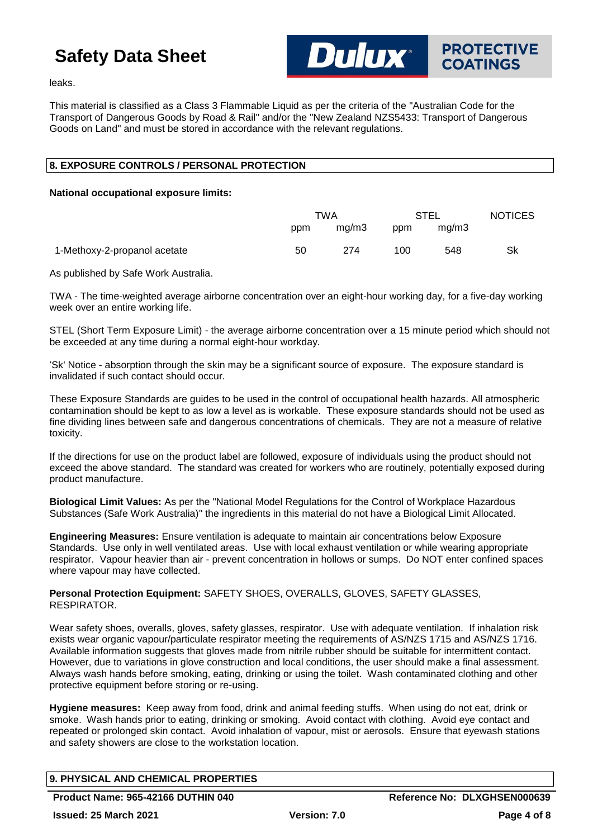

leaks.

This material is classified as a Class 3 Flammable Liquid as per the criteria of the "Australian Code for the Transport of Dangerous Goods by Road & Rail" and/or the "New Zealand NZS5433: Transport of Dangerous Goods on Land" and must be stored in accordance with the relevant regulations.

## **8. EXPOSURE CONTROLS / PERSONAL PROTECTION**

#### **National occupational exposure limits:**

|                              | TWA |       | <b>STEL</b> |       | <b>NOTICES</b> |
|------------------------------|-----|-------|-------------|-------|----------------|
|                              | ppm | mg/m3 | ppm         | ma/m3 |                |
| 1-Methoxy-2-propanol acetate | 50  | 274   | 100         | 548   | Sk             |

As published by Safe Work Australia.

TWA - The time-weighted average airborne concentration over an eight-hour working day, for a five-day working week over an entire working life.

STEL (Short Term Exposure Limit) - the average airborne concentration over a 15 minute period which should not be exceeded at any time during a normal eight-hour workday.

'Sk' Notice - absorption through the skin may be a significant source of exposure. The exposure standard is invalidated if such contact should occur.

These Exposure Standards are guides to be used in the control of occupational health hazards. All atmospheric contamination should be kept to as low a level as is workable. These exposure standards should not be used as fine dividing lines between safe and dangerous concentrations of chemicals. They are not a measure of relative toxicity.

If the directions for use on the product label are followed, exposure of individuals using the product should not exceed the above standard. The standard was created for workers who are routinely, potentially exposed during product manufacture.

**Biological Limit Values:** As per the "National Model Regulations for the Control of Workplace Hazardous Substances (Safe Work Australia)" the ingredients in this material do not have a Biological Limit Allocated.

**Engineering Measures:** Ensure ventilation is adequate to maintain air concentrations below Exposure Standards. Use only in well ventilated areas. Use with local exhaust ventilation or while wearing appropriate respirator. Vapour heavier than air - prevent concentration in hollows or sumps. Do NOT enter confined spaces where vapour may have collected.

**Personal Protection Equipment:** SAFETY SHOES, OVERALLS, GLOVES, SAFETY GLASSES, RESPIRATOR.

Wear safety shoes, overalls, gloves, safety glasses, respirator. Use with adequate ventilation. If inhalation risk exists wear organic vapour/particulate respirator meeting the requirements of AS/NZS 1715 and AS/NZS 1716. Available information suggests that gloves made from nitrile rubber should be suitable for intermittent contact. However, due to variations in glove construction and local conditions, the user should make a final assessment. Always wash hands before smoking, eating, drinking or using the toilet. Wash contaminated clothing and other protective equipment before storing or re-using.

**Hygiene measures:** Keep away from food, drink and animal feeding stuffs. When using do not eat, drink or smoke. Wash hands prior to eating, drinking or smoking. Avoid contact with clothing. Avoid eye contact and repeated or prolonged skin contact. Avoid inhalation of vapour, mist or aerosols. Ensure that eyewash stations and safety showers are close to the workstation location.

## **9. PHYSICAL AND CHEMICAL PROPERTIES**

**Product Name: 965-42166 DUTHIN 040 Reference No: DLXGHSEN000639**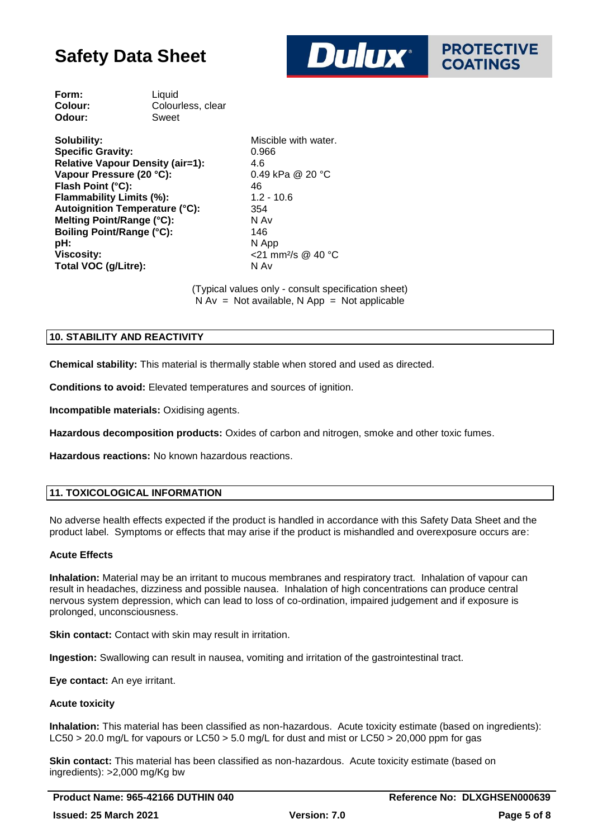

| Form:   | Liquid            |
|---------|-------------------|
| Colour: | Colourless, clear |
| Odour:  | Sweet             |
|         |                   |

| Solubility:                             | Miscil            |
|-----------------------------------------|-------------------|
| <b>Specific Gravity:</b>                | 0.966             |
| <b>Relative Vapour Density (air=1):</b> | 4.6               |
| Vapour Pressure (20 °C):                | 0.49 <sub>l</sub> |
| Flash Point (°C):                       | 46                |
| Flammability Limits (%):                | $1.2 - 7$         |
| <b>Autoignition Temperature (°C):</b>   | 354               |
| Melting Point/Range (°C):               | N Av              |
| <b>Boiling Point/Range (°C):</b>        | 146               |
| pH:                                     | N Apr             |
| <b>Viscosity:</b>                       | $<$ 21 $\pi$      |
| Total VOC (g/Litre):                    | N Av              |

Miscible with water. **Vapour Pressure (20 °C):** 0.49 kPa @ 20 °C **Flammability Limits (%):** 1.2 - 10.6 **pH:** N App **Viscosity:** <21 mm²/s @ 40 °C

(Typical values only - consult specification sheet)  $N Av = Not available, N App = Not applicable$ 

## **10. STABILITY AND REACTIVITY**

**Chemical stability:** This material is thermally stable when stored and used as directed.

**Conditions to avoid:** Elevated temperatures and sources of ignition.

**Incompatible materials:** Oxidising agents.

**Hazardous decomposition products:** Oxides of carbon and nitrogen, smoke and other toxic fumes.

**Hazardous reactions:** No known hazardous reactions.

#### **11. TOXICOLOGICAL INFORMATION**

No adverse health effects expected if the product is handled in accordance with this Safety Data Sheet and the product label. Symptoms or effects that may arise if the product is mishandled and overexposure occurs are:

#### **Acute Effects**

**Inhalation:** Material may be an irritant to mucous membranes and respiratory tract. Inhalation of vapour can result in headaches, dizziness and possible nausea. Inhalation of high concentrations can produce central nervous system depression, which can lead to loss of co-ordination, impaired judgement and if exposure is prolonged, unconsciousness.

**Skin contact:** Contact with skin may result in irritation.

**Ingestion:** Swallowing can result in nausea, vomiting and irritation of the gastrointestinal tract.

**Eye contact:** An eye irritant.

#### **Acute toxicity**

**Inhalation:** This material has been classified as non-hazardous. Acute toxicity estimate (based on ingredients): LC50 > 20.0 mg/L for vapours or LC50 > 5.0 mg/L for dust and mist or LC50 > 20,000 ppm for gas

**Skin contact:** This material has been classified as non-hazardous. Acute toxicity estimate (based on ingredients): >2,000 mg/Kg bw

**Product Name: 965-42166 DUTHIN 040 Reference No: DLXGHSEN000639 Issued: 25 March 2021 Version: 7.0 Page 5 of 8**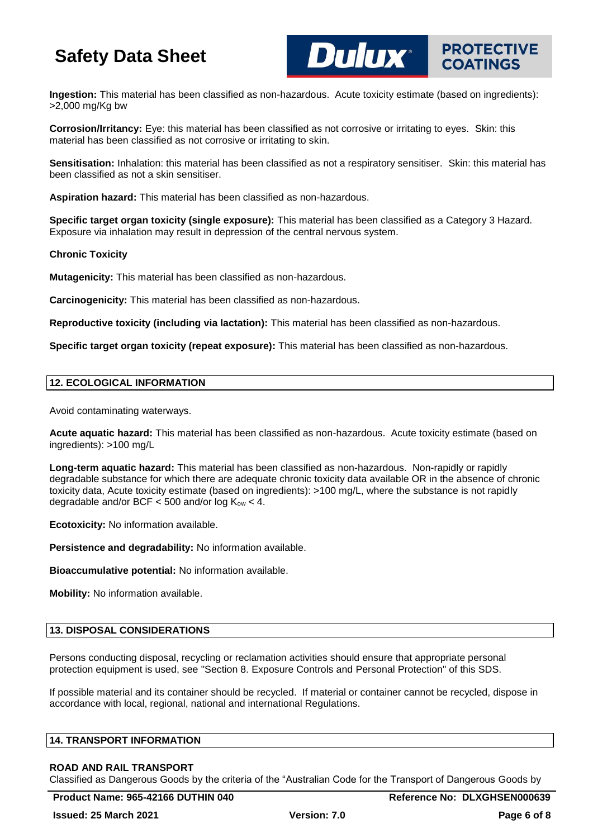

**Dulux**®

**Corrosion/Irritancy:** Eye: this material has been classified as not corrosive or irritating to eyes. Skin: this material has been classified as not corrosive or irritating to skin.

**Sensitisation:** Inhalation: this material has been classified as not a respiratory sensitiser. Skin: this material has been classified as not a skin sensitiser.

**Aspiration hazard:** This material has been classified as non-hazardous.

**Specific target organ toxicity (single exposure):** This material has been classified as a Category 3 Hazard. Exposure via inhalation may result in depression of the central nervous system.

#### **Chronic Toxicity**

**Mutagenicity:** This material has been classified as non-hazardous.

**Carcinogenicity:** This material has been classified as non-hazardous.

**Reproductive toxicity (including via lactation):** This material has been classified as non-hazardous.

**Specific target organ toxicity (repeat exposure):** This material has been classified as non-hazardous.

#### **12. ECOLOGICAL INFORMATION**

Avoid contaminating waterways.

**Acute aquatic hazard:** This material has been classified as non-hazardous. Acute toxicity estimate (based on ingredients): >100 mg/L

**Long-term aquatic hazard:** This material has been classified as non-hazardous. Non-rapidly or rapidly degradable substance for which there are adequate chronic toxicity data available OR in the absence of chronic toxicity data, Acute toxicity estimate (based on ingredients): >100 mg/L, where the substance is not rapidly degradable and/or BCF  $<$  500 and/or log  $K_{ow}$   $<$  4.

**Ecotoxicity:** No information available.

**Persistence and degradability:** No information available.

**Bioaccumulative potential:** No information available.

**Mobility:** No information available.

## **13. DISPOSAL CONSIDERATIONS**

Persons conducting disposal, recycling or reclamation activities should ensure that appropriate personal protection equipment is used, see "Section 8. Exposure Controls and Personal Protection" of this SDS.

If possible material and its container should be recycled. If material or container cannot be recycled, dispose in accordance with local, regional, national and international Regulations.

#### **14. TRANSPORT INFORMATION**

#### **ROAD AND RAIL TRANSPORT**

Classified as Dangerous Goods by the criteria of the "Australian Code for the Transport of Dangerous Goods by

**PROTECTIVE**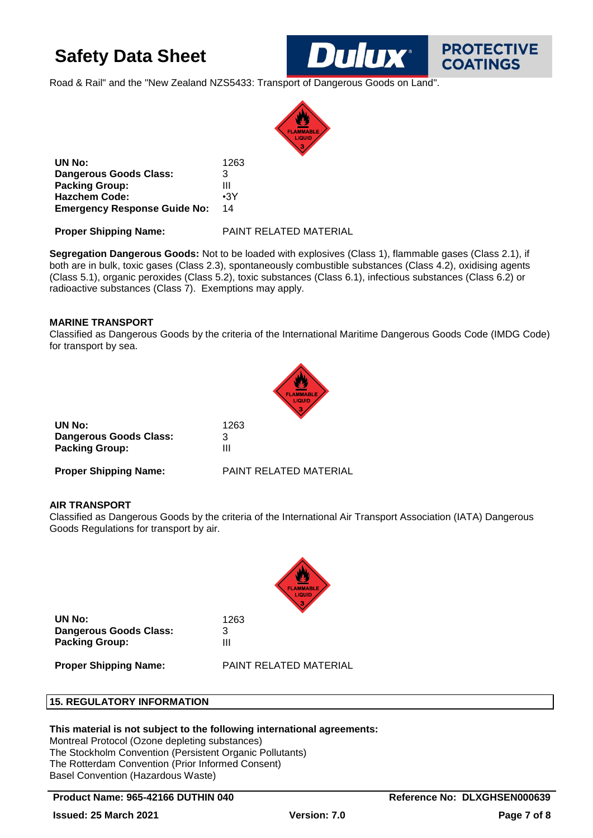Road & Rail" and the "New Zealand NZS5433: Transport of Dangerous Goods on Land".



**UN No:** 1263 **Dangerous Goods Class:** 3 **Packing Group:** III **Hazchem Code:** •3Y **Emergency Response Guide No:** 14

**Proper Shipping Name:** PAINT RELATED MATERIAL

**Segregation Dangerous Goods:** Not to be loaded with explosives (Class 1), flammable gases (Class 2.1), if both are in bulk, toxic gases (Class 2.3), spontaneously combustible substances (Class 4.2), oxidising agents (Class 5.1), organic peroxides (Class 5.2), toxic substances (Class 6.1), infectious substances (Class 6.2) or radioactive substances (Class 7). Exemptions may apply.

## **MARINE TRANSPORT**

Classified as Dangerous Goods by the criteria of the International Maritime Dangerous Goods Code (IMDG Code) for transport by sea.



| UN No:                        | 1263                   |
|-------------------------------|------------------------|
| <b>Dangerous Goods Class:</b> | 3                      |
| <b>Packing Group:</b>         | Ш                      |
| <b>Proper Shipping Name:</b>  | PAINT RELATED MATERIAL |

### **AIR TRANSPORT**

Classified as Dangerous Goods by the criteria of the International Air Transport Association (IATA) Dangerous Goods Regulations for transport by air.



**UN No:** 1263 **Dangerous Goods Class:** 3 **Packing Group:** III

**Proper Shipping Name:** PAINT RELATED MATERIAL

### **15. REGULATORY INFORMATION**

### **This material is not subject to the following international agreements:**

Montreal Protocol (Ozone depleting substances) The Stockholm Convention (Persistent Organic Pollutants) The Rotterdam Convention (Prior Informed Consent) Basel Convention (Hazardous Waste)

### **Product Name: 965-42166 DUTHIN 040 Reference No: DLXGHSEN000639**

**PROTECTIVE COATINGS**